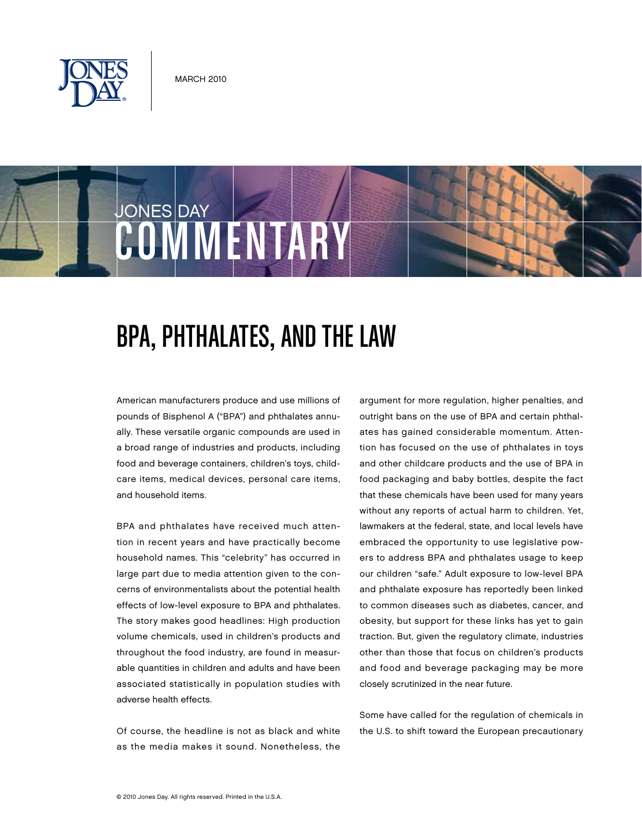







# BPA, Phthalates, And The Law

American manufacturers produce and use millions of pounds of Bisphenol A ("BPA") and phthalates annually. These versatile organic compounds are used in a broad range of industries and products, including food and beverage containers, children's toys, childcare items, medical devices, personal care items, and household items.

BPA and phthalates have received much attention in recent years and have practically become household names. This "celebrity" has occurred in large part due to media attention given to the concerns of environmentalists about the potential health effects of low-level exposure to BPA and phthalates. The story makes good headlines: High production volume chemicals, used in children's products and throughout the food industry, are found in measurable quantities in children and adults and have been associated statistically in population studies with adverse health effects.

Of course, the headline is not as black and white as the media makes it sound. Nonetheless, the argument for more regulation, higher penalties, and outright bans on the use of BPA and certain phthalates has gained considerable momentum. Attention has focused on the use of phthalates in toys and other childcare products and the use of BPA in food packaging and baby bottles, despite the fact that these chemicals have been used for many years without any reports of actual harm to children. Yet, lawmakers at the federal, state, and local levels have embraced the opportunity to use legislative powers to address BPA and phthalates usage to keep our children "safe." Adult exposure to low-level BPA and phthalate exposure has reportedly been linked to common diseases such as diabetes, cancer, and obesity, but support for these links has yet to gain traction. But, given the regulatory climate, industries other than those that focus on children's products and food and beverage packaging may be more closely scrutinized in the near future.

Some have called for the regulation of chemicals in the U.S. to shift toward the European precautionary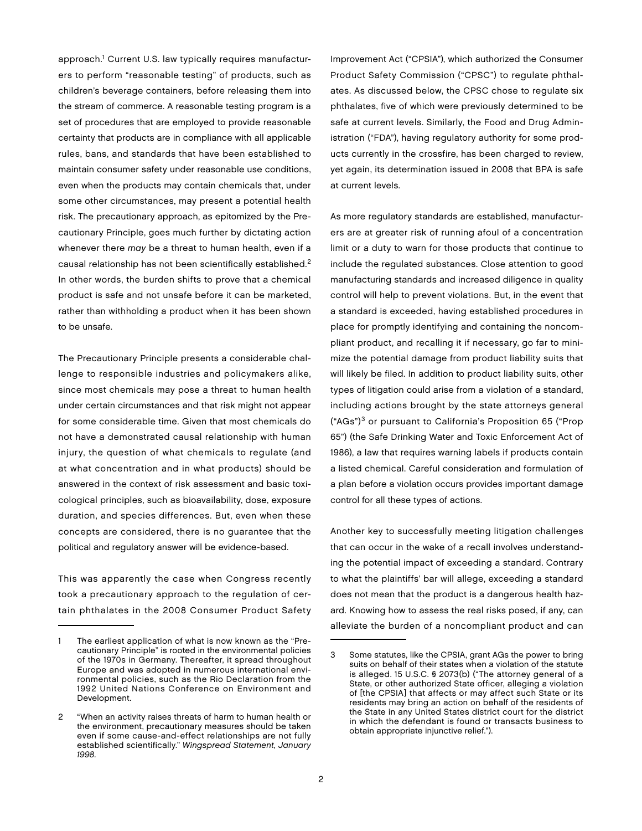approach.<sup>1</sup> Current U.S. law typically requires manufacturers to perform "reasonable testing" of products, such as children's beverage containers, before releasing them into the stream of commerce. A reasonable testing program is a set of procedures that are employed to provide reasonable certainty that products are in compliance with all applicable rules, bans, and standards that have been established to maintain consumer safety under reasonable use conditions, even when the products may contain chemicals that, under some other circumstances, may present a potential health risk. The precautionary approach, as epitomized by the Precautionary Principle, goes much further by dictating action whenever there may be a threat to human health, even if a causal relationship has not been scientifically established.<sup>2</sup> In other words, the burden shifts to prove that a chemical product is safe and not unsafe before it can be marketed, rather than withholding a product when it has been shown to be unsafe.

The Precautionary Principle presents a considerable challenge to responsible industries and policymakers alike, since most chemicals may pose a threat to human health under certain circumstances and that risk might not appear for some considerable time. Given that most chemicals do not have a demonstrated causal relationship with human injury, the question of what chemicals to regulate (and at what concentration and in what products) should be answered in the context of risk assessment and basic toxicological principles, such as bioavailability, dose, exposure duration, and species differences. But, even when these concepts are considered, there is no guarantee that the political and regulatory answer will be evidence-based.

This was apparently the case when Congress recently took a precautionary approach to the regulation of certain phthalates in the 2008 Consumer Product Safety

Improvement Act ("CPSIA"), which authorized the Consumer Product Safety Commission ("CPSC") to regulate phthalates. As discussed below, the CPSC chose to regulate six phthalates, five of which were previously determined to be safe at current levels. Similarly, the Food and Drug Administration ("FDA"), having regulatory authority for some products currently in the crossfire, has been charged to review, yet again, its determination issued in 2008 that BPA is safe at current levels.

As more regulatory standards are established, manufacturers are at greater risk of running afoul of a concentration limit or a duty to warn for those products that continue to include the regulated substances. Close attention to good manufacturing standards and increased diligence in quality control will help to prevent violations. But, in the event that a standard is exceeded, having established procedures in place for promptly identifying and containing the noncompliant product, and recalling it if necessary, go far to minimize the potential damage from product liability suits that will likely be filed. In addition to product liability suits, other types of litigation could arise from a violation of a standard, including actions brought by the state attorneys general ("AGs")3 or pursuant to California's Proposition 65 ("Prop 65") (the Safe Drinking Water and Toxic Enforcement Act of 1986), a law that requires warning labels if products contain a listed chemical. Careful consideration and formulation of a plan before a violation occurs provides important damage control for all these types of actions.

Another key to successfully meeting litigation challenges that can occur in the wake of a recall involves understanding the potential impact of exceeding a standard. Contrary to what the plaintiffs' bar will allege, exceeding a standard does not mean that the product is a dangerous health hazard. Knowing how to assess the real risks posed, if any, can alleviate the burden of a noncompliant product and can

The earliest application of what is now known as the "Precautionary Principle" is rooted in the environmental policies of the 1970s in Germany. Thereafter, it spread throughout Europe and was adopted in numerous international environmental policies, such as the Rio Declaration from the 1992 United Nations Conference on Environment and Development.

<sup>2</sup> "When an activity raises threats of harm to human health or the environment, precautionary measures should be taken even if some cause-and-effect relationships are not fully established scientifically." Wingspread Statement, January 1998.

<sup>3</sup> Some statutes, like the CPSIA, grant AGs the power to bring suits on behalf of their states when a violation of the statute is alleged. 15 U.S.C. § 2073(b) ("The attorney general of a State, or other authorized State officer, alleging a violation of [the CPSIA] that affects or may affect such State or its residents may bring an action on behalf of the residents of the State in any United States district court for the district in which the defendant is found or transacts business to obtain appropriate injunctive relief.").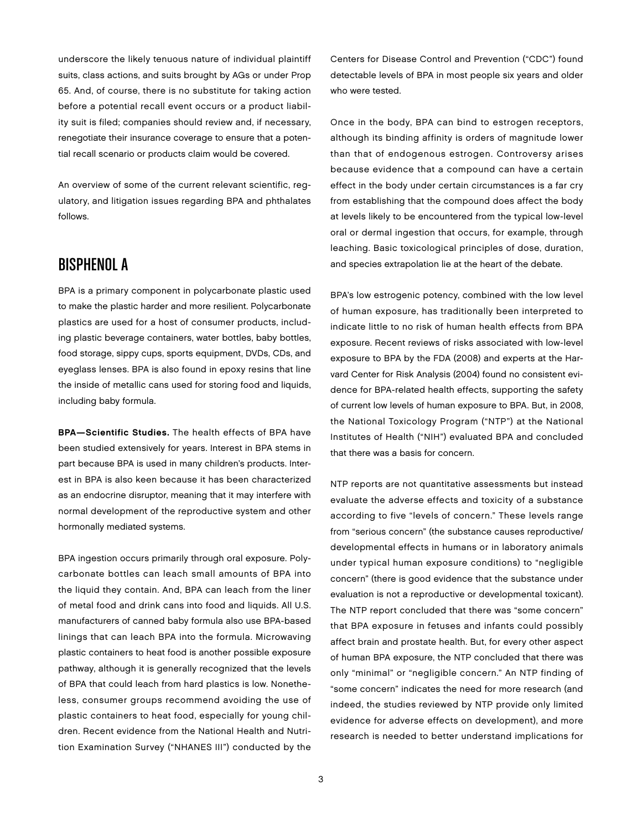underscore the likely tenuous nature of individual plaintiff suits, class actions, and suits brought by AGs or under Prop 65. And, of course, there is no substitute for taking action before a potential recall event occurs or a product liability suit is filed; companies should review and, if necessary, renegotiate their insurance coverage to ensure that a potential recall scenario or products claim would be covered.

An overview of some of the current relevant scientific, regulatory, and litigation issues regarding BPA and phthalates follows.

## Bisphenol A

BPA is a primary component in polycarbonate plastic used to make the plastic harder and more resilient. Polycarbonate plastics are used for a host of consumer products, including plastic beverage containers, water bottles, baby bottles, food storage, sippy cups, sports equipment, DVDs, CDs, and eyeglass lenses. BPA is also found in epoxy resins that line the inside of metallic cans used for storing food and liquids, including baby formula.

BPA—Scientific Studies. The health effects of BPA have been studied extensively for years. Interest in BPA stems in part because BPA is used in many children's products. Interest in BPA is also keen because it has been characterized as an endocrine disruptor, meaning that it may interfere with normal development of the reproductive system and other hormonally mediated systems.

BPA ingestion occurs primarily through oral exposure. Polycarbonate bottles can leach small amounts of BPA into the liquid they contain. And, BPA can leach from the liner of metal food and drink cans into food and liquids. All U.S. manufacturers of canned baby formula also use BPA-based linings that can leach BPA into the formula. Microwaving plastic containers to heat food is another possible exposure pathway, although it is generally recognized that the levels of BPA that could leach from hard plastics is low. Nonetheless, consumer groups recommend avoiding the use of plastic containers to heat food, especially for young children. Recent evidence from the National Health and Nutrition Examination Survey ("NHANES III") conducted by the

Centers for Disease Control and Prevention ("CDC") found detectable levels of BPA in most people six years and older who were tested.

Once in the body, BPA can bind to estrogen receptors, although its binding affinity is orders of magnitude lower than that of endogenous estrogen. Controversy arises because evidence that a compound can have a certain effect in the body under certain circumstances is a far cry from establishing that the compound does affect the body at levels likely to be encountered from the typical low-level oral or dermal ingestion that occurs, for example, through leaching. Basic toxicological principles of dose, duration, and species extrapolation lie at the heart of the debate.

BPA's low estrogenic potency, combined with the low level of human exposure, has traditionally been interpreted to indicate little to no risk of human health effects from BPA exposure. Recent reviews of risks associated with low-level exposure to BPA by the FDA (2008) and experts at the Harvard Center for Risk Analysis (2004) found no consistent evidence for BPA-related health effects, supporting the safety of current low levels of human exposure to BPA. But, in 2008, the National Toxicology Program ("NTP") at the National Institutes of Health ("NIH") evaluated BPA and concluded that there was a basis for concern.

NTP reports are not quantitative assessments but instead evaluate the adverse effects and toxicity of a substance according to five "levels of concern." These levels range from "serious concern" (the substance causes reproductive/ developmental effects in humans or in laboratory animals under typical human exposure conditions) to "negligible concern" (there is good evidence that the substance under evaluation is not a reproductive or developmental toxicant). The NTP report concluded that there was "some concern" that BPA exposure in fetuses and infants could possibly affect brain and prostate health. But, for every other aspect of human BPA exposure, the NTP concluded that there was only "minimal" or "negligible concern." An NTP finding of "some concern" indicates the need for more research (and indeed, the studies reviewed by NTP provide only limited evidence for adverse effects on development), and more research is needed to better understand implications for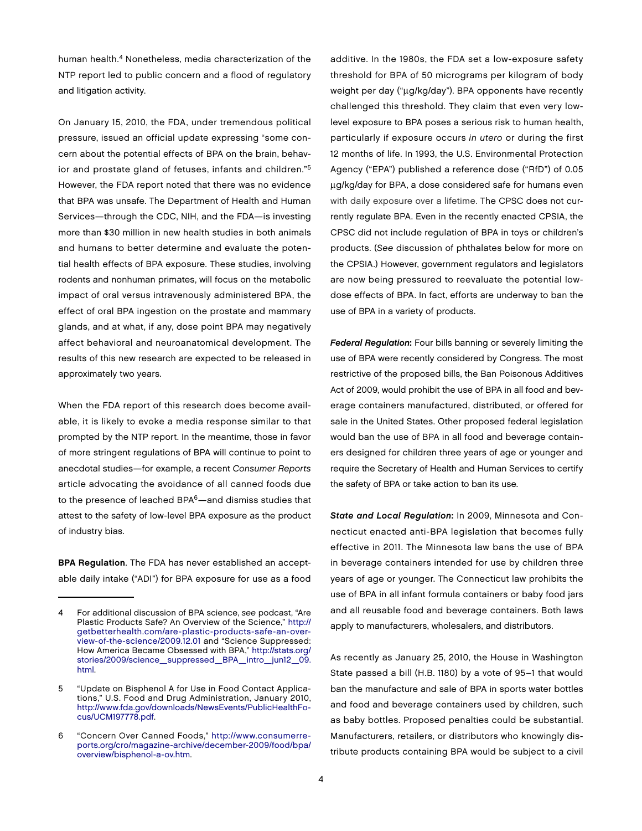human health.4 Nonetheless, media characterization of the NTP report led to public concern and a flood of regulatory and litigation activity.

On January 15, 2010, the FDA, under tremendous political pressure, issued an official update expressing "some concern about the potential effects of BPA on the brain, behavior and prostate gland of fetuses, infants and children."5 However, the FDA report noted that there was no evidence that BPA was unsafe. The Department of Health and Human Services—through the CDC, NIH, and the FDA—is investing more than \$30 million in new health studies in both animals and humans to better determine and evaluate the potential health effects of BPA exposure. These studies, involving rodents and nonhuman primates, will focus on the metabolic impact of oral versus intravenously administered BPA, the effect of oral BPA ingestion on the prostate and mammary glands, and at what, if any, dose point BPA may negatively affect behavioral and neuroanatomical development. The results of this new research are expected to be released in approximately two years.

When the FDA report of this research does become available, it is likely to evoke a media response similar to that prompted by the NTP report. In the meantime, those in favor of more stringent regulations of BPA will continue to point to anecdotal studies—for example, a recent Consumer Reports article advocating the avoidance of all canned foods due to the presence of leached BPA<sup>6</sup>—and dismiss studies that attest to the safety of low-level BPA exposure as the product of industry bias.

BPA Regulation. The FDA has never established an acceptable daily intake ("ADI") for BPA exposure for use as a food additive. In the 1980s, the FDA set a low-exposure safety threshold for BPA of 50 micrograms per kilogram of body weight per day ("µg/kg/day"). BPA opponents have recently challenged this threshold. They claim that even very lowlevel exposure to BPA poses a serious risk to human health, particularly if exposure occurs in utero or during the first 12 months of life. In 1993, the U.S. Environmental Protection Agency ("EPA") published a reference dose ("RfD") of 0.05 µg/kg/day for BPA, a dose considered safe for humans even with daily exposure over a lifetime. The CPSC does not currently regulate BPA. Even in the recently enacted CPSIA, the CPSC did not include regulation of BPA in toys or children's products. (See discussion of phthalates below for more on the CPSIA.) However, government regulators and legislators are now being pressured to reevaluate the potential lowdose effects of BPA. In fact, efforts are underway to ban the use of BPA in a variety of products.

Federal Regulation: Four bills banning or severely limiting the use of BPA were recently considered by Congress. The most restrictive of the proposed bills, the Ban Poisonous Additives Act of 2009, would prohibit the use of BPA in all food and beverage containers manufactured, distributed, or offered for sale in the United States. Other proposed federal legislation would ban the use of BPA in all food and beverage containers designed for children three years of age or younger and require the Secretary of Health and Human Services to certify the safety of BPA or take action to ban its use.

State and Local Regulation: In 2009, Minnesota and Connecticut enacted anti-BPA legislation that becomes fully effective in 2011. The Minnesota law bans the use of BPA in beverage containers intended for use by children three years of age or younger. The Connecticut law prohibits the use of BPA in all infant formula containers or baby food jars and all reusable food and beverage containers. Both laws apply to manufacturers, wholesalers, and distributors.

As recently as January 25, 2010, the House in Washington State passed a bill (H.B. 1180) by a vote of 95–1 that would ban the manufacture and sale of BPA in sports water bottles and food and beverage containers used by children, such as baby bottles. Proposed penalties could be substantial. Manufacturers, retailers, or distributors who knowingly distribute products containing BPA would be subject to a civil

<sup>4</sup> For additional discussion of BPA science, see podcast, "Are Plastic Products Safe? An Overview of the Science," [http://](http://getbetterhealth.com/are-plastic-products-safe-an-over-view-of-the-science/2009.12.01) [getbetterhealth.com/are-plastic-products-safe-an-ov](http://getbetterhealth.com/are-plastic-products-safe-an-over-view-of-the-science/2009.12.01)er[view-of-the-science/2009.12.01 and "Science Suppressed:](http://getbetterhealth.com/are-plastic-products-safe-an-over-view-of-the-science/2009.12.01)  How America Became Obsessed with BPA," [http://stats.org/](http://stats.org/stories/2009/science_suppressed_BPA_intro_jun12_09.html) [stories/2009/science\\_suppressed\\_BPA\\_intro\\_jun12\\_09.](http://stats.org/stories/2009/science_suppressed_BPA_intro_jun12_09.html) html.

<sup>5</sup> "Update on Bisphenol A for Use in Food Contact Applications," U.S. Food and Drug Administration, January 2010, [http://www.fda.gov/downloads/NewsEvents/PublicHealthFo](http://www.fda.gov/downloads/NewsEvents/PublicHealthFo-cus/UCM197778.pdf)cus[/UCM197778.pdf.](http://www.fda.gov/downloads/NewsEvents/PublicHealthFo-cus/UCM197778.pdf)

<sup>6</sup> ["Concern Over Canned Foods," h](http://www.consumerreports.org/cro/magazine-archive/december-2009/food/bpa/overview/bisphenol-a-ov.htm)[ttp://www.c](http://www.consumerre-ports.org/cro/magazine-archive/december-2009/food/bpa/)[onsumerre](http://www.consumerreports.org/cro/magazine-archive/december-2009/food/bpa/overview/bisphenol-a-ov.htm)ports[.org/cro/magazine-archive/december-2009/food/bpa/](http://www.consumerreports.org/cro/magazine-archive/december-2009/food/bpa/overview/bisphenol-a-ov.htm) [overview/bisphenol-a-ov.htm.](http://www.consumerreports.org/cro/magazine-archive/december-2009/food/bpa/overview/bisphenol-a-ov.htm)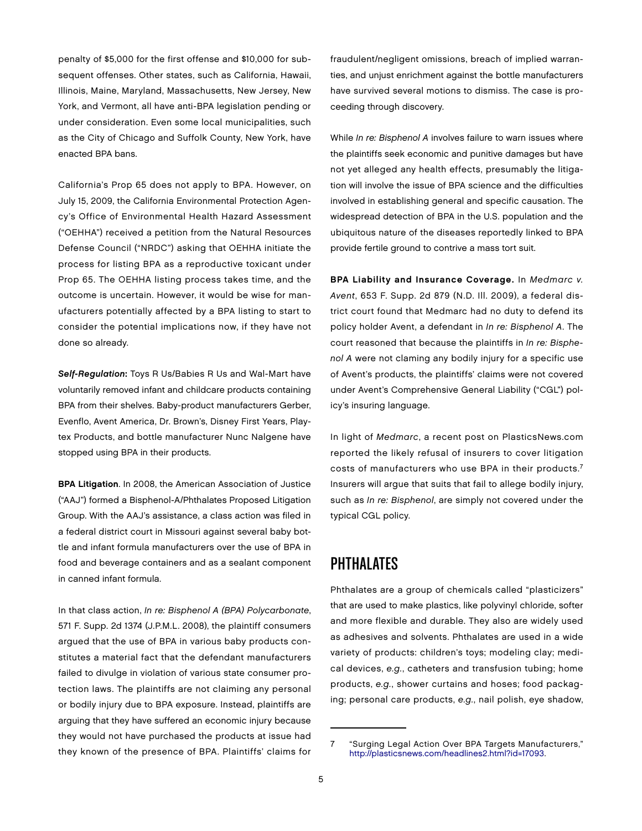penalty of \$5,000 for the first offense and \$10,000 for subsequent offenses. Other states, such as California, Hawaii, Illinois, Maine, Maryland, Massachusetts, New Jersey, New York, and Vermont, all have anti-BPA legislation pending or under consideration. Even some local municipalities, such as the City of Chicago and Suffolk County, New York, have enacted BPA bans.

California's Prop 65 does not apply to BPA. However, on July 15, 2009, the California Environmental Protection Agency's Office of Environmental Health Hazard Assessment ("OEHHA") received a petition from the Natural Resources Defense Council ("NRDC") asking that OEHHA initiate the process for listing BPA as a reproductive toxicant under Prop 65. The OEHHA listing process takes time, and the outcome is uncertain. However, it would be wise for manufacturers potentially affected by a BPA listing to start to consider the potential implications now, if they have not done so already.

Self-Regulation: Toys R Us/Babies R Us and Wal-Mart have voluntarily removed infant and childcare products containing BPA from their shelves. Baby-product manufacturers Gerber, Evenflo, Avent America, Dr. Brown's, Disney First Years, Playtex Products, and bottle manufacturer Nunc Nalgene have stopped using BPA in their products.

BPA Litigation. In 2008, the American Association of Justice ("AAJ") formed a Bisphenol-A/Phthalates Proposed Litigation Group. With the AAJ's assistance, a class action was filed in a federal district court in Missouri against several baby bottle and infant formula manufacturers over the use of BPA in food and beverage containers and as a sealant component in canned infant formula.

In that class action, In re: Bisphenol A (BPA) Polycarbonate, 571 F. Supp. 2d 1374 (J.P.M.L. 2008), the plaintiff consumers argued that the use of BPA in various baby products constitutes a material fact that the defendant manufacturers failed to divulge in violation of various state consumer protection laws. The plaintiffs are not claiming any personal or bodily injury due to BPA exposure. Instead, plaintiffs are arguing that they have suffered an economic injury because they would not have purchased the products at issue had they known of the presence of BPA. Plaintiffs' claims for fraudulent/negligent omissions, breach of implied warranties, and unjust enrichment against the bottle manufacturers have survived several motions to dismiss. The case is proceeding through discovery.

While In re: Bisphenol A involves failure to warn issues where the plaintiffs seek economic and punitive damages but have not yet alleged any health effects, presumably the litigation will involve the issue of BPA science and the difficulties involved in establishing general and specific causation. The widespread detection of BPA in the U.S. population and the ubiquitous nature of the diseases reportedly linked to BPA provide fertile ground to contrive a mass tort suit.

BPA Liability and Insurance Coverage. In Medmarc v. Avent, 653 F. Supp. 2d 879 (N.D. Ill. 2009), a federal district court found that Medmarc had no duty to defend its policy holder Avent, a defendant in In re: Bisphenol A. The court reasoned that because the plaintiffs in In re: Bisphenol A were not claming any bodily injury for a specific use of Avent's products, the plaintiffs' claims were not covered under Avent's Comprehensive General Liability ("CGL") policy's insuring language.

In light of Medmarc, a recent post on PlasticsNews.com reported the likely refusal of insurers to cover litigation costs of manufacturers who use BPA in their products.<sup>7</sup> Insurers will argue that suits that fail to allege bodily injury, such as In re: Bisphenol, are simply not covered under the typical CGL policy.

## **PHTHALATES**

Phthalates are a group of chemicals called "plasticizers" that are used to make plastics, like polyvinyl chloride, softer and more flexible and durable. They also are widely used as adhesives and solvents. Phthalates are used in a wide variety of products: children's toys; modeling clay; medical devices, e.g., catheters and transfusion tubing; home products, e.g., shower curtains and hoses; food packaging; personal care products, e.g., nail polish, eye shadow,

<sup>7</sup> "Surging Legal Action Over BPA Targets Manufacturers," [http://plasticsnews.com/headlines2.html?id=17093.](http://plasticsnews.com/headlines2.html?id=17093)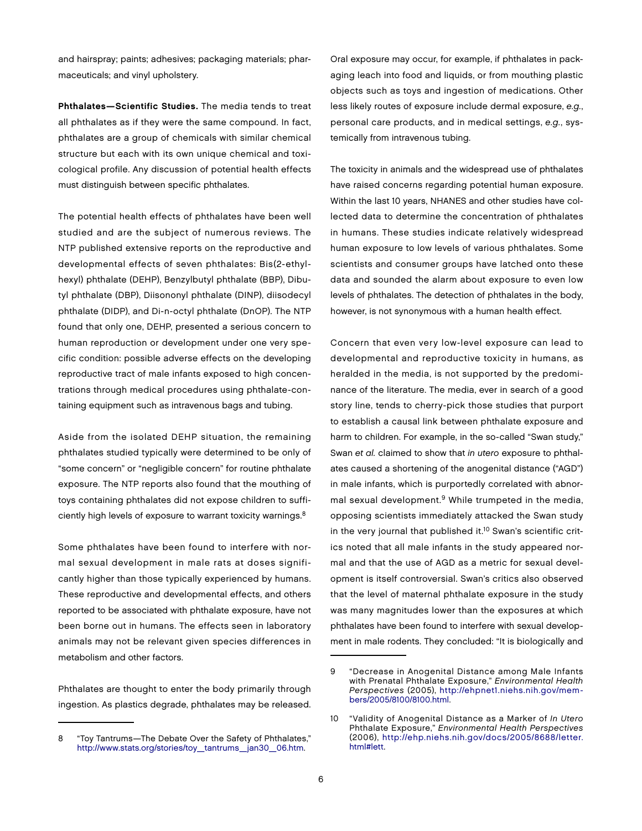and hairspray; paints; adhesives; packaging materials; pharmaceuticals; and vinyl upholstery.

Phthalates—Scientific Studies. The media tends to treat all phthalates as if they were the same compound. In fact, phthalates are a group of chemicals with similar chemical structure but each with its own unique chemical and toxicological profile. Any discussion of potential health effects must distinguish between specific phthalates.

The potential health effects of phthalates have been well studied and are the subject of numerous reviews. The NTP published extensive reports on the reproductive and developmental effects of seven phthalates: Bis(2-ethylhexyl) phthalate (DEHP), Benzylbutyl phthalate (BBP), Dibutyl phthalate (DBP), Diisononyl phthalate (DINP), diisodecyl phthalate (DIDP), and Di-n-octyl phthalate (DnOP). The NTP found that only one, DEHP, presented a serious concern to human reproduction or development under one very specific condition: possible adverse effects on the developing reproductive tract of male infants exposed to high concentrations through medical procedures using phthalate-containing equipment such as intravenous bags and tubing.

Aside from the isolated DEHP situation, the remaining phthalates studied typically were determined to be only of "some concern" or "negligible concern" for routine phthalate exposure. The NTP reports also found that the mouthing of toys containing phthalates did not expose children to sufficiently high levels of exposure to warrant toxicity warnings.<sup>8</sup>

Some phthalates have been found to interfere with normal sexual development in male rats at doses significantly higher than those typically experienced by humans. These reproductive and developmental effects, and others reported to be associated with phthalate exposure, have not been borne out in humans. The effects seen in laboratory animals may not be relevant given species differences in metabolism and other factors.

Phthalates are thought to enter the body primarily through ingestion. As plastics degrade, phthalates may be released.

Oral exposure may occur, for example, if phthalates in packaging leach into food and liquids, or from mouthing plastic objects such as toys and ingestion of medications. Other less likely routes of exposure include dermal exposure, e.g., personal care products, and in medical settings, e.g., systemically from intravenous tubing.

The toxicity in animals and the widespread use of phthalates have raised concerns regarding potential human exposure. Within the last 10 years, NHANES and other studies have collected data to determine the concentration of phthalates in humans. These studies indicate relatively widespread human exposure to low levels of various phthalates. Some scientists and consumer groups have latched onto these data and sounded the alarm about exposure to even low levels of phthalates. The detection of phthalates in the body, however, is not synonymous with a human health effect.

Concern that even very low-level exposure can lead to developmental and reproductive toxicity in humans, as heralded in the media, is not supported by the predominance of the literature. The media, ever in search of a good story line, tends to cherry-pick those studies that purport to establish a causal link between phthalate exposure and harm to children. For example, in the so-called "Swan study," Swan et al. claimed to show that in utero exposure to phthalates caused a shortening of the anogenital distance ("AGD") in male infants, which is purportedly correlated with abnormal sexual development.<sup>9</sup> While trumpeted in the media, opposing scientists immediately attacked the Swan study in the very journal that published it.<sup>10</sup> Swan's scientific critics noted that all male infants in the study appeared normal and that the use of AGD as a metric for sexual development is itself controversial. Swan's critics also observed that the level of maternal phthalate exposure in the study was many magnitudes lower than the exposures at which phthalates have been found to interfere with sexual development in male rodents. They concluded: "It is biologically and

<sup>8</sup> "Toy Tantrums—The Debate Over the Safety of Phthalates," [http://www.stats.org/stories/toy\\_tantrums\\_jan30\\_06.htm.](http://www.stats.org/stories/toy_tantrums_jan30_06.htm)

<sup>9</sup> "Decrease in Anogenital Distance among Male Infants with Prenatal Phthalate Exposure," Environmental Health Perspectives [\(2005\), http://ehpnet1.niehs.nih.gov/mem](http://ehpnet1.niehs.nih.gov/mem-bers/2005/8100/8100.html)bers/[2005/8100/8100.html.](http://ehpnet1.niehs.nih.gov/mem-bers/2005/8100/8100.html)

<sup>10</sup> "Validity of Anogenital Distance as a Marker of In Utero Phthalate Exposure," Environmental Health Perspectives (2006), [http://ehp.niehs.nih.gov/docs/2005/8688/letter.](http://ehp.niehs.nih.gov/docs/2005/8688/letter.html#lett) [html#lett.](http://ehp.niehs.nih.gov/docs/2005/8688/letter.html#lett)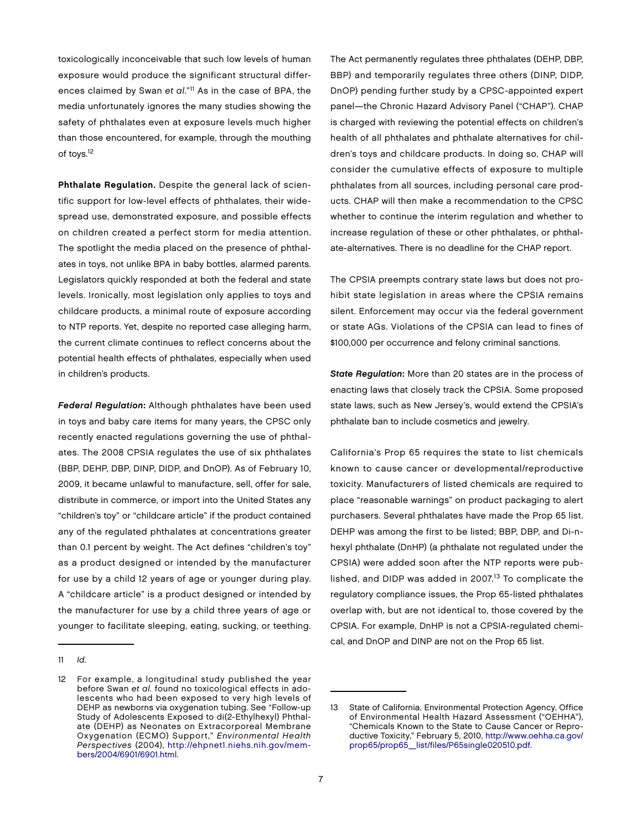toxicologically inconceivable that such low levels of human exposure would produce the significant structural differences claimed by Swan et al."<sup>11</sup> As in the case of BPA, the media unfortunately ignores the many studies showing the safety of phthalates even at exposure levels much higher than those encountered, for example, through the mouthing of toys.12

Phthalate Regulation. Despite the general lack of scientific support for low-level effects of phthalates, their widespread use, demonstrated exposure, and possible effects on children created a perfect storm for media attention. The spotlight the media placed on the presence of phthalates in toys, not unlike BPA in baby bottles, alarmed parents. Legislators quickly responded at both the federal and state levels. Ironically, most legislation only applies to toys and childcare products, a minimal route of exposure according to NTP reports. Yet, despite no reported case alleging harm, the current climate continues to reflect concerns about the potential health effects of phthalates, especially when used in children's products.

Federal Regulation: Although phthalates have been used in toys and baby care items for many years, the CPSC only recently enacted regulations governing the use of phthalates. The 2008 CPSIA regulates the use of six phthalates (BBP, DEHP, DBP, DINP, DIDP, and DnOP). As of February 10, 2009, it became unlawful to manufacture, sell, offer for sale, distribute in commerce, or import into the United States any "children's toy" or "childcare article" if the product contained any of the regulated phthalates at concentrations greater than 0.1 percent by weight. The Act defines "children's toy" as a product designed or intended by the manufacturer for use by a child 12 years of age or younger during play. A "childcare article" is a product designed or intended by the manufacturer for use by a child three years of age or younger to facilitate sleeping, eating, sucking, or teething.

11 Id.

The Act permanently regulates three phthalates (DEHP, DBP, BBP) and temporarily regulates three others (DINP, DIDP, DnOP) pending further study by a CPSC-appointed expert panel—the Chronic Hazard Advisory Panel ("CHAP"). CHAP is charged with reviewing the potential effects on children's health of all phthalates and phthalate alternatives for children's toys and childcare products. In doing so, CHAP will consider the cumulative effects of exposure to multiple phthalates from all sources, including personal care products. CHAP will then make a recommendation to the CPSC whether to continue the interim regulation and whether to increase regulation of these or other phthalates, or phthalate-alternatives. There is no deadline for the CHAP report.

The CPSIA preempts contrary state laws but does not prohibit state legislation in areas where the CPSIA remains silent. Enforcement may occur via the federal government or state AGs. Violations of the CPSIA can lead to fines of \$100,000 per occurrence and felony criminal sanctions.

State Regulation: More than 20 states are in the process of enacting laws that closely track the CPSIA. Some proposed state laws, such as New Jersey's, would extend the CPSIA's phthalate ban to include cosmetics and jewelry.

California's Prop 65 requires the state to list chemicals known to cause cancer or developmental/reproductive toxicity. Manufacturers of listed chemicals are required to place "reasonable warnings" on product packaging to alert purchasers. Several phthalates have made the Prop 65 list. DEHP was among the first to be listed; BBP, DBP, and Di-nhexyl phthalate (DnHP) (a phthalate not regulated under the CPSIA) were added soon after the NTP reports were published, and DIDP was added in 2007.<sup>13</sup> To complicate the regulatory compliance issues, the Prop 65-listed phthalates overlap with, but are not identical to, those covered by the CPSIA. For example, DnHP is not a CPSIA-regulated chemical, and DnOP and DINP are not on the Prop 65 list.

<sup>12</sup> For example, a longitudinal study published the year before Swan et al. found no toxicological effects in adolescents who had been exposed to very high levels of DEHP as newborns via oxygenation tubing. See "Follow-up Study of Adolescents Exposed to di(2-Ethylhexyl) Phthalate (DEHP) as Neonates on Extracorporeal Membrane Oxygenation (ECMO) Support," Environmental Health Perspectives [\(2004\), http://ehpnet1.niehs.nih.gov/mem](http://ehpnet1.niehs.nih.gov/mem-bers/2004/6901/6901.html)bers/[2004/6901/6901.html.](http://ehpnet1.niehs.nih.gov/mem-bers/2004/6901/6901.html)

<sup>13</sup> State of California, Environmental Protection Agency, Office of Environmental Health Hazard Assessment ("OEHHA"), "Chemicals Known to the State to Cause Cancer or Reproductive Toxicity," February 5, 2010, [http://www.oehha.ca.gov/](http://www.oehha.ca.gov/prop65/prop65_list/files/P65single020510.pdf) [prop65/prop65\\_list/files/P65single020510.pdf.](http://www.oehha.ca.gov/prop65/prop65_list/files/P65single020510.pdf)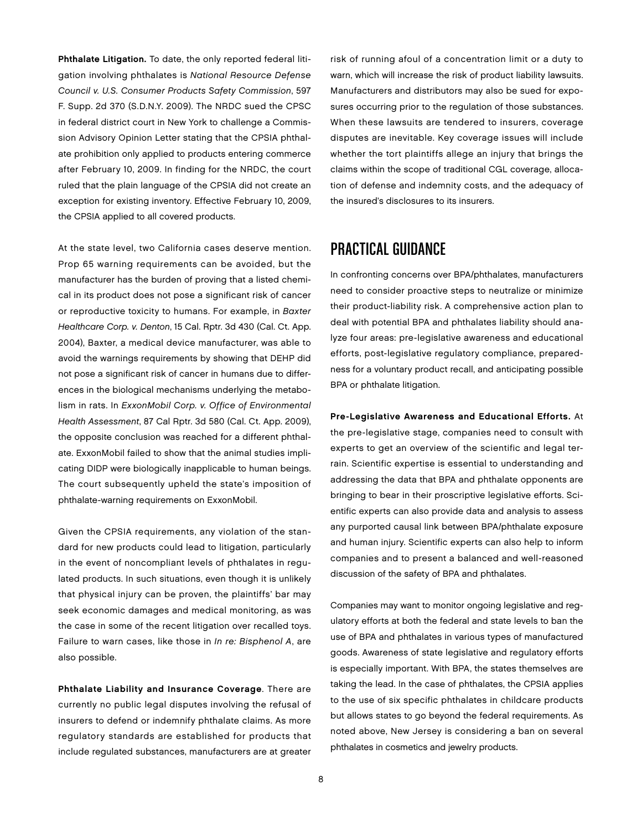Phthalate Litigation. To date, the only reported federal litigation involving phthalates is National Resource Defense Council v. U.S. Consumer Products Safety Commission, 597 F. Supp. 2d 370 (S.D.N.Y. 2009). The NRDC sued the CPSC in federal district court in New York to challenge a Commission Advisory Opinion Letter stating that the CPSIA phthalate prohibition only applied to products entering commerce after February 10, 2009. In finding for the NRDC, the court ruled that the plain language of the CPSIA did not create an exception for existing inventory. Effective February 10, 2009, the CPSIA applied to all covered products.

At the state level, two California cases deserve mention. Prop 65 warning requirements can be avoided, but the manufacturer has the burden of proving that a listed chemical in its product does not pose a significant risk of cancer or reproductive toxicity to humans. For example, in Baxter Healthcare Corp. v. Denton, 15 Cal. Rptr. 3d 430 (Cal. Ct. App. 2004), Baxter, a medical device manufacturer, was able to avoid the warnings requirements by showing that DEHP did not pose a significant risk of cancer in humans due to differences in the biological mechanisms underlying the metabolism in rats. In ExxonMobil Corp. v. Office of Environmental Health Assessment, 87 Cal Rptr. 3d 580 (Cal. Ct. App. 2009), the opposite conclusion was reached for a different phthalate. ExxonMobil failed to show that the animal studies implicating DIDP were biologically inapplicable to human beings. The court subsequently upheld the state's imposition of phthalate-warning requirements on ExxonMobil.

Given the CPSIA requirements, any violation of the standard for new products could lead to litigation, particularly in the event of noncompliant levels of phthalates in regulated products. In such situations, even though it is unlikely that physical injury can be proven, the plaintiffs' bar may seek economic damages and medical monitoring, as was the case in some of the recent litigation over recalled toys. Failure to warn cases, like those in In re: Bisphenol A, are also possible.

Phthalate Liability and Insurance Coverage. There are currently no public legal disputes involving the refusal of insurers to defend or indemnify phthalate claims. As more regulatory standards are established for products that include regulated substances, manufacturers are at greater

risk of running afoul of a concentration limit or a duty to warn, which will increase the risk of product liability lawsuits. Manufacturers and distributors may also be sued for exposures occurring prior to the regulation of those substances. When these lawsuits are tendered to insurers, coverage disputes are inevitable. Key coverage issues will include whether the tort plaintiffs allege an injury that brings the claims within the scope of traditional CGL coverage, allocation of defense and indemnity costs, and the adequacy of the insured's disclosures to its insurers.

### Practical Guidance

In confronting concerns over BPA/phthalates, manufacturers need to consider proactive steps to neutralize or minimize their product-liability risk. A comprehensive action plan to deal with potential BPA and phthalates liability should analyze four areas: pre-legislative awareness and educational efforts, post-legislative regulatory compliance, preparedness for a voluntary product recall, and anticipating possible BPA or phthalate litigation.

Pre-Legislative Awareness and Educational Efforts. At the pre-legislative stage, companies need to consult with experts to get an overview of the scientific and legal terrain. Scientific expertise is essential to understanding and addressing the data that BPA and phthalate opponents are bringing to bear in their proscriptive legislative efforts. Scientific experts can also provide data and analysis to assess any purported causal link between BPA/phthalate exposure and human injury. Scientific experts can also help to inform companies and to present a balanced and well-reasoned discussion of the safety of BPA and phthalates.

Companies may want to monitor ongoing legislative and regulatory efforts at both the federal and state levels to ban the use of BPA and phthalates in various types of manufactured goods. Awareness of state legislative and regulatory efforts is especially important. With BPA, the states themselves are taking the lead. In the case of phthalates, the CPSIA applies to the use of six specific phthalates in childcare products but allows states to go beyond the federal requirements. As noted above, New Jersey is considering a ban on several phthalates in cosmetics and jewelry products.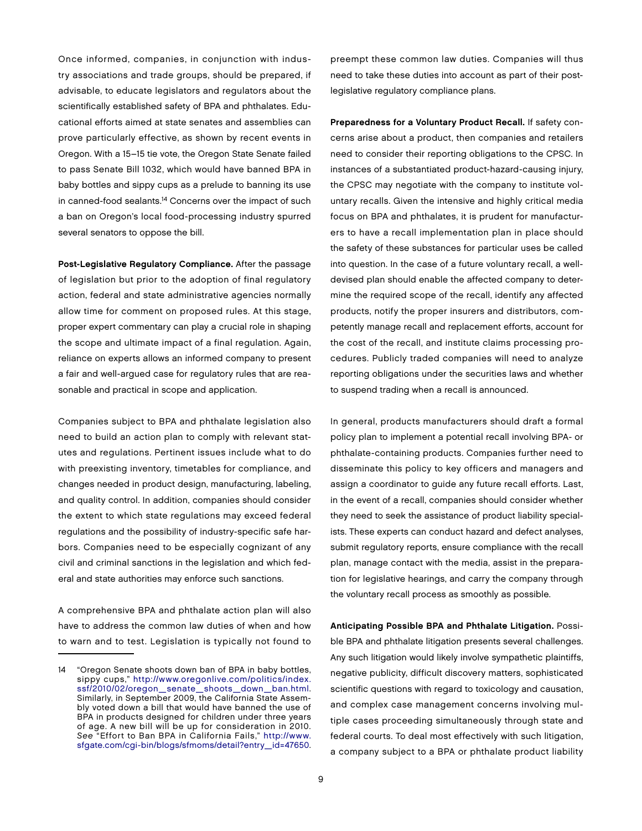Once informed, companies, in conjunction with industry associations and trade groups, should be prepared, if advisable, to educate legislators and regulators about the scientifically established safety of BPA and phthalates. Educational efforts aimed at state senates and assemblies can prove particularly effective, as shown by recent events in Oregon. With a 15–15 tie vote, the Oregon State Senate failed to pass Senate Bill 1032, which would have banned BPA in baby bottles and sippy cups as a prelude to banning its use in canned-food sealants.<sup>14</sup> Concerns over the impact of such a ban on Oregon's local food-processing industry spurred several senators to oppose the bill.

Post-Legislative Regulatory Compliance. After the passage of legislation but prior to the adoption of final regulatory action, federal and state administrative agencies normally allow time for comment on proposed rules. At this stage, proper expert commentary can play a crucial role in shaping the scope and ultimate impact of a final regulation. Again, reliance on experts allows an informed company to present a fair and well-argued case for regulatory rules that are reasonable and practical in scope and application.

Companies subject to BPA and phthalate legislation also need to build an action plan to comply with relevant statutes and regulations. Pertinent issues include what to do with preexisting inventory, timetables for compliance, and changes needed in product design, manufacturing, labeling, and quality control. In addition, companies should consider the extent to which state regulations may exceed federal regulations and the possibility of industry-specific safe harbors. Companies need to be especially cognizant of any civil and criminal sanctions in the legislation and which federal and state authorities may enforce such sanctions.

A comprehensive BPA and phthalate action plan will also have to address the common law duties of when and how to warn and to test. Legislation is typically not found to

preempt these common law duties. Companies will thus need to take these duties into account as part of their postlegislative regulatory compliance plans.

Preparedness for a Voluntary Product Recall. If safety concerns arise about a product, then companies and retailers need to consider their reporting obligations to the CPSC. In instances of a substantiated product-hazard-causing injury, the CPSC may negotiate with the company to institute voluntary recalls. Given the intensive and highly critical media focus on BPA and phthalates, it is prudent for manufacturers to have a recall implementation plan in place should the safety of these substances for particular uses be called into question. In the case of a future voluntary recall, a welldevised plan should enable the affected company to determine the required scope of the recall, identify any affected products, notify the proper insurers and distributors, competently manage recall and replacement efforts, account for the cost of the recall, and institute claims processing procedures. Publicly traded companies will need to analyze reporting obligations under the securities laws and whether to suspend trading when a recall is announced.

In general, products manufacturers should draft a formal policy plan to implement a potential recall involving BPA- or phthalate-containing products. Companies further need to disseminate this policy to key officers and managers and assign a coordinator to guide any future recall efforts. Last, in the event of a recall, companies should consider whether they need to seek the assistance of product liability specialists. These experts can conduct hazard and defect analyses, submit regulatory reports, ensure compliance with the recall plan, manage contact with the media, assist in the preparation for legislative hearings, and carry the company through the voluntary recall process as smoothly as possible.

Anticipating Possible BPA and Phthalate Litigation. Possible BPA and phthalate litigation presents several challenges. Any such litigation would likely involve sympathetic plaintiffs, negative publicity, difficult discovery matters, sophisticated scientific questions with regard to toxicology and causation, and complex case management concerns involving multiple cases proceeding simultaneously through state and federal courts. To deal most effectively with such litigation, a company subject to a BPA or phthalate product liability

<sup>14</sup> "Oregon Senate shoots down ban of BPA in baby bottles, sippy cups," [http://www.oregonlive.com/politics/index.](http://www.oregonlive.com/politics/index.ssf/2010/02/oregon_senate_shoots_down_ban.html) [ssf/2010/02/oregon\\_senate\\_shoots\\_down\\_ban.html.](http://www.oregonlive.com/politics/index.ssf/2010/02/oregon_senate_shoots_down_ban.html)  Similarly, in September 2009, the California State Assembly voted down a bill that would have banned the use of BPA in products designed for children under three years of age. A new bill will be up for consideration in 2010. See "Effort to Ban BPA in California Fails," [http://www.](http://www.sfgate.com/cgi-bin/blogs/sfmoms/detail?entry_id=47650) [sfgate.com/cgi-bin/blogs/sfmoms/detail?entry\\_id=47650.](http://www.sfgate.com/cgi-bin/blogs/sfmoms/detail?entry_id=47650)